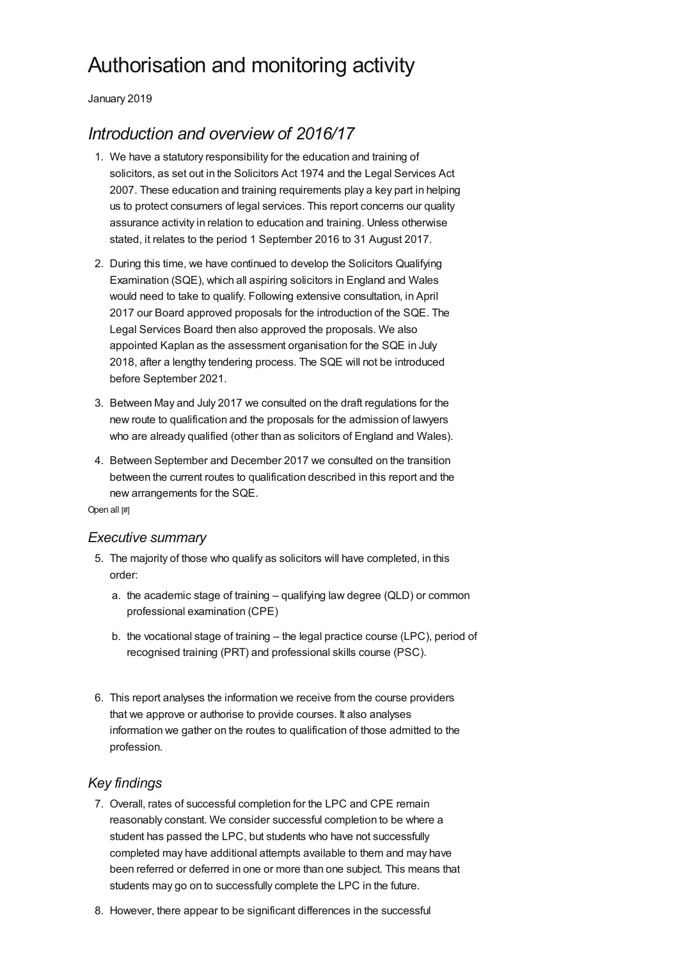# Authorisation and monitoring activity

January 2019

# *Introduction and overview of 2016/17*

- 1. We have a statutory responsibility for the education and training of solicitors, as set out in the Solicitors Act 1974 and the Legal Services Act 2007. These education and training requirements play a key part in helping us to protect consumers of legal services. This report concerns our quality assurance activity in relation to education and training. Unless otherwise stated, it relates to the period 1 September 2016 to 31 August 2017.
- 2. During this time, we have continued to develop the Solicitors Qualifying Examination (SQE), which all aspiring solicitors in England and Wales would need to take to qualify. Following extensive consultation, in April 2017 our Board approved proposals for the introduction of the SQE. The Legal Services Board then also approved the proposals. We also appointed Kaplan as the assessment organisation for the SQE in July 2018, after a lengthy tendering process. The SQE will not be introduced before September 2021.
- 3. Between May and July 2017 we consulted on the draft regulations for the new route to qualification and the proposals for the admission of lawyers who are already qualified (other than as solicitors of England and Wales).
- 4. Between September and December 2017 we consulted on the transition between the current routes to qualification described in this report and the new arrangements for the SQE.

Open all [#]

#### *[Executive](#page-0-0) summary*

- <span id="page-0-0"></span>5. The majority of those who qualify as solicitors will have completed, in this order:
	- a. the academic stage of training qualifying law degree (QLD) or common professional examination (CPE)
	- b. the vocational stage of training the legal practice course (LPC), period of recognised training (PRT) and professional skills course (PSC).
- 6. This report analyses the information we receive from the course providers that we approve or authorise to provide courses. It also analyses information we gather on the routes to qualification of those admitted to the profession.

#### *Key findings*

- 7. Overall, rates of successful completion for the LPC and CPE remain reasonably constant. We consider successful completion to be where a student has passed the LPC, but students who have not successfully completed may have additional attempts available to them and may have been referred or deferred in one or more than one subject. This means that students may go on to successfully complete the LPC in the future.
- 8. However, there appear to be significant differences in the successful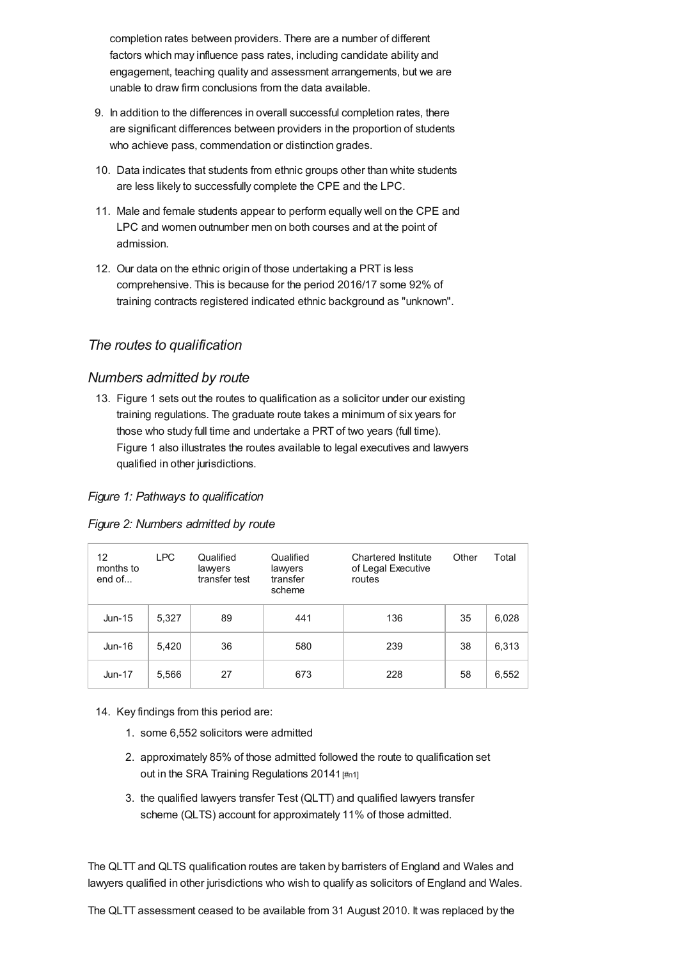completion rates between providers. There are a number of different factors which may influence pass rates, including candidate ability and engagement, teaching quality and assessment arrangements, but we are unable to draw firm conclusions from the data available.

- 9. In addition to the differences in overall successful completion rates, there are significant differences between providers in the proportion of students who achieve pass, commendation or distinction grades.
- 10. Data indicates that students from ethnic groups other than white students are less likely to successfully complete the CPE and the LPC.
- 11. Male and female students appear to perform equally well on the CPE and LPC and women outnumber men on both courses and at the point of admission.
- 12. Our data on the ethnic origin of those undertaking a PRT is less comprehensive. This is because for the period 2016/17 some 92% of training contracts registered indicated ethnic background as "unknown".

# *The routes to [qualification](#page-1-0)*

# <span id="page-1-0"></span>*Numbers admitted by route*

13. Figure 1 sets out the routes to qualification as a solicitor under our existing training regulations. The graduate route takes a minimum of six years for those who study full time and undertake a PRT of two years (full time). Figure 1 also illustrates the routes available to legal executives and lawyers qualified in other jurisdictions.

#### *Figure 1: Pathways to qualification*

#### *Figure 2: Numbers admitted by route*

| 12<br>months to<br>end of $\dots$ | <b>LPC</b> | Qualified<br>lawyers<br>transfer test | Qualified<br>lawyers<br>transfer<br>scheme | Chartered Institute<br>of Legal Executive<br>routes | Other | Total |
|-----------------------------------|------------|---------------------------------------|--------------------------------------------|-----------------------------------------------------|-------|-------|
| $Jun-15$                          | 5,327      | 89                                    | 441                                        | 136                                                 | 35    | 6,028 |
| Jun-16                            | 5,420      | 36                                    | 580                                        | 239                                                 | 38    | 6,313 |
| $Jun-17$                          | 5,566      | 27                                    | 673                                        | 228                                                 | 58    | 6,552 |

14. Key findings from this period are:

- 1. some 6,552 solicitors were admitted
- 2. approximately 85% of those admitted followed the route to qualification set out in the SRA Training Regulations 20141 [\[#n1\]](#page-10-0)
- 3. the qualified lawyers transfer Test (QLTT) and qualified lawyers transfer scheme (QLTS) account for approximately 11% of those admitted.

The QLTT and QLTS qualification routes are taken by barristers of England and Wales and lawyers qualified in other jurisdictions who wish to qualify as solicitors of England and Wales.

The QLTT assessment ceased to be available from 31 August 2010. It was replaced by the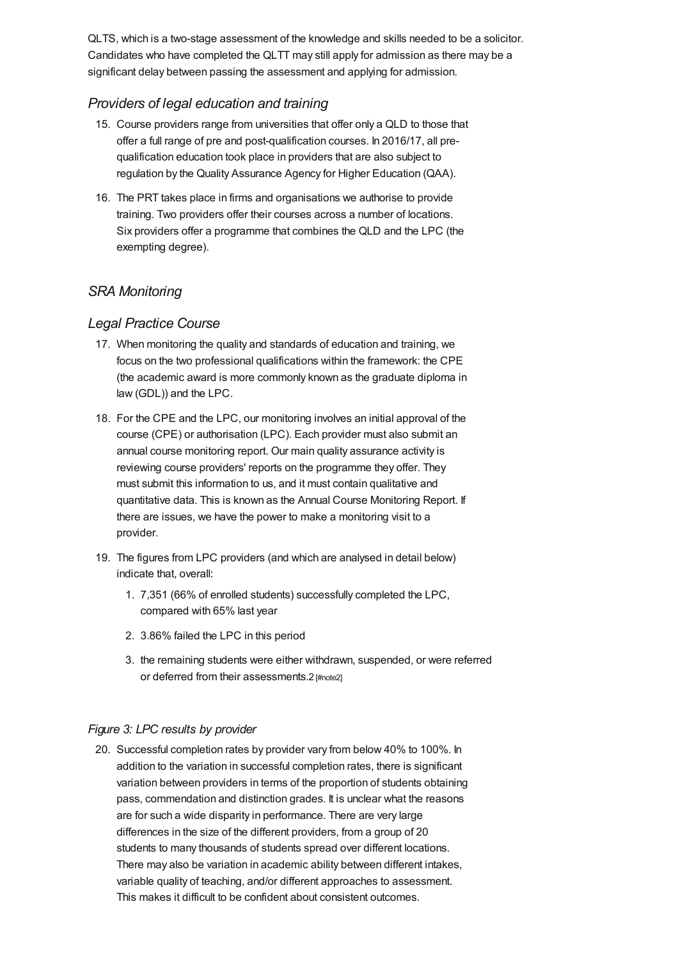QLTS, which is a two-stage assessment of the knowledge and skills needed to be a solicitor. Candidates who have completed the QLTT may still apply for admission as there may be a significant delay between passing the assessment and applying for admission.

# *Providers of legal education and training*

- 15. Course providers range from universities that offer only a QLD to those that offer a full range of pre and post-qualification courses. In 2016/17, all prequalification education took place in providers that are also subject to regulation by the Quality Assurance Agency for Higher Education (QAA).
- 16. The PRT takes place in firms and organisations we authorise to provide training. Two providers offer their courses across a number of locations. Six providers offer a programme that combines the QLD and the LPC (the exempting degree).

# *SRA [Monitoring](#page-3-0)*

# *Legal Practice Course*

- 17. When monitoring the quality and standards of education and training, we focus on the two professional qualifications within the framework: the CPE (the academic award is more commonly known as the graduate diploma in law (GDL)) and the LPC.
- 18. For the CPE and the LPC, our monitoring involves an initial approval of the course (CPE) or authorisation (LPC). Each provider must also submit an annual course monitoring report. Our main quality assurance activity is reviewing course providers' reports on the programme they offer. They must submit this information to us, and it must contain qualitative and quantitative data. This is known as the Annual Course Monitoring Report. If there are issues, we have the power to make a monitoring visit to a provider.
- 19. The figures from LPC providers (and which are analysed in detail below) indicate that, overall:
	- 1. 7,351 (66% of enrolled students) successfully completed the LPC, compared with 65% last year
	- 2. 3.86% failed the LPC in this period
	- 3. the remaining students were either withdrawn, suspended, or were referred or deferred from their assessments.2 [\[#note2\]](#page-10-1)

#### *Figure 3: LPC results by provider*

20. Successful completion rates by provider vary from below 40% to 100%. In addition to the variation in successful completion rates, there is significant variation between providers in terms of the proportion of students obtaining pass, commendation and distinction grades. It is unclear what the reasons are for such a wide disparity in performance. There are very large differences in the size of the different providers, from a group of 20 students to many thousands of students spread over different locations. There may also be variation in academic ability between different intakes, variable quality of teaching, and/or different approaches to assessment. This makes it difficult to be confident about consistent outcomes.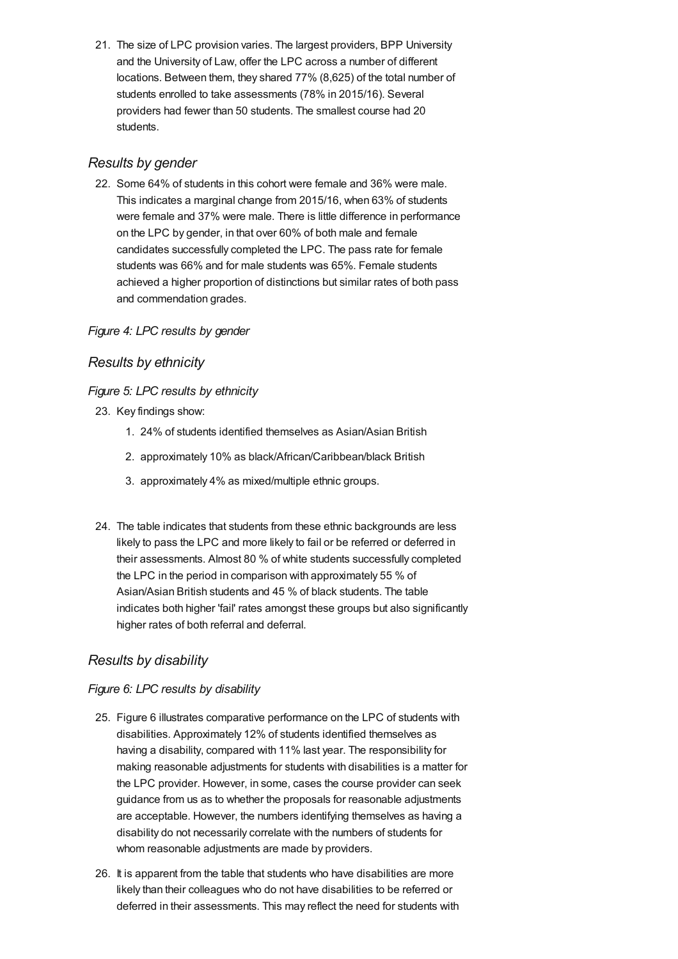<span id="page-3-0"></span>21. The size of LPC provision varies. The largest providers, BPP University and the University of Law, offer the LPC across a number of different locations. Between them, they shared 77% (8,625) of the total number of students enrolled to take assessments (78% in 2015/16). Several providers had fewer than 50 students. The smallest course had 20 students.

# *Results by gender*

22. Some 64% of students in this cohort were female and 36% were male. This indicates a marginal change from 2015/16, when 63% of students were female and 37% were male. There is little difference in performance on the LPC by gender, in that over 60% of both male and female candidates successfully completed the LPC. The pass rate for female students was 66% and for male students was 65%. Female students achieved a higher proportion of distinctions but similar rates of both pass and commendation grades.

#### *Figure 4: LPC results by gender*

# *Results by ethnicity*

#### *Figure 5: LPC results by ethnicity*

- 23. Key findings show:
	- 1. 24% of students identified themselves as Asian/Asian British
	- 2. approximately 10% as black/African/Caribbean/black British
	- 3. approximately 4% as mixed/multiple ethnic groups.
- 24. The table indicates that students from these ethnic backgrounds are less likely to pass the LPC and more likely to fail or be referred or deferred in their assessments. Almost 80 % of white students successfully completed the LPC in the period in comparison with approximately 55 % of Asian/Asian British students and 45 % of black students. The table indicates both higher 'fail' rates amongst these groups but also significantly higher rates of both referral and deferral.

# *Results by disability*

#### *Figure 6: LPC results by disability*

- 25. Figure 6 illustrates comparative performance on the LPC of students with disabilities. Approximately 12% of students identified themselves as having a disability, compared with 11% last year. The responsibility for making reasonable adjustments for students with disabilities is a matter for the LPC provider. However, in some, cases the course provider can seek guidance from us as to whether the proposals for reasonable adjustments are acceptable. However, the numbers identifying themselves as having a disability do not necessarily correlate with the numbers of students for whom reasonable adjustments are made by providers.
- 26. It is apparent from the table that students who have disabilities are more likely than their colleagues who do not have disabilities to be referred or deferred in their assessments. This may reflect the need for students with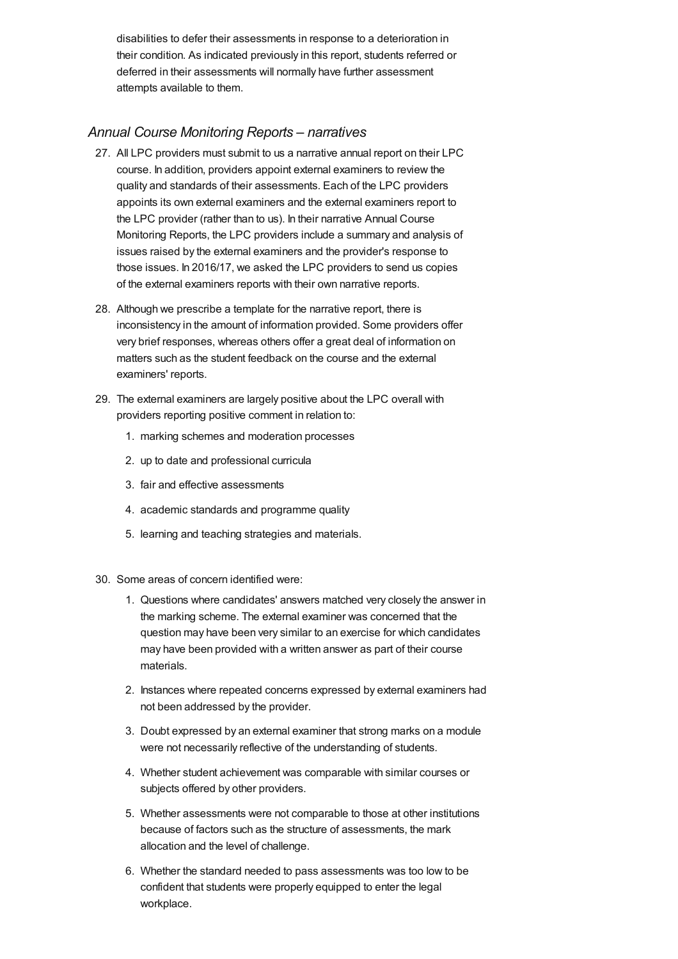disabilities to defer their assessments in response to a deterioration in their condition. As indicated previously in this report, students referred or deferred in their assessments will normally have further assessment attempts available to them.

# *Annual Course [Monitoring](#page-4-0) Reports – narratives*

- <span id="page-4-0"></span>27. All LPC providers must submit to us a narrative annual report on their LPC course. In addition, providers appoint external examiners to review the quality and standards of their assessments. Each of the LPC providers appoints its own external examiners and the external examiners report to the LPC provider (rather than to us). In their narrative Annual Course Monitoring Reports, the LPC providers include a summary and analysis of issues raised by the external examiners and the provider's response to those issues. In 2016/17, we asked the LPC providers to send us copies of the external examiners reports with their own narrative reports.
- 28. Although we prescribe a template for the narrative report, there is inconsistency in the amount of information provided. Some providers offer very brief responses, whereas others offer a great deal of information on matters such as the student feedback on the course and the external examiners' reports.
- 29. The external examiners are largely positive about the LPC overall with providers reporting positive comment in relation to:
	- 1. marking schemes and moderation processes
	- 2. up to date and professional curricula
	- 3. fair and effective assessments
	- 4. academic standards and programme quality
	- 5. learning and teaching strategies and materials.
- 30. Some areas of concern identified were:
	- 1. Questions where candidates' answers matched very closely the answer in the marking scheme. The external examiner was concerned that the question may have been very similar to an exercise for which candidates may have been provided with a written answer as part of their course materials.
	- 2. Instances where repeated concerns expressed by external examiners had not been addressed by the provider.
	- 3. Doubt expressed by an external examiner that strong marks on a module were not necessarily reflective of the understanding of students.
	- 4. Whether student achievement was comparable with similar courses or subjects offered by other providers.
	- 5. Whether assessments were not comparable to those at other institutions because of factors such as the structure of assessments, the mark allocation and the level of challenge.
	- 6. Whether the standard needed to pass assessments was too low to be confident that students were properly equipped to enter the legal workplace.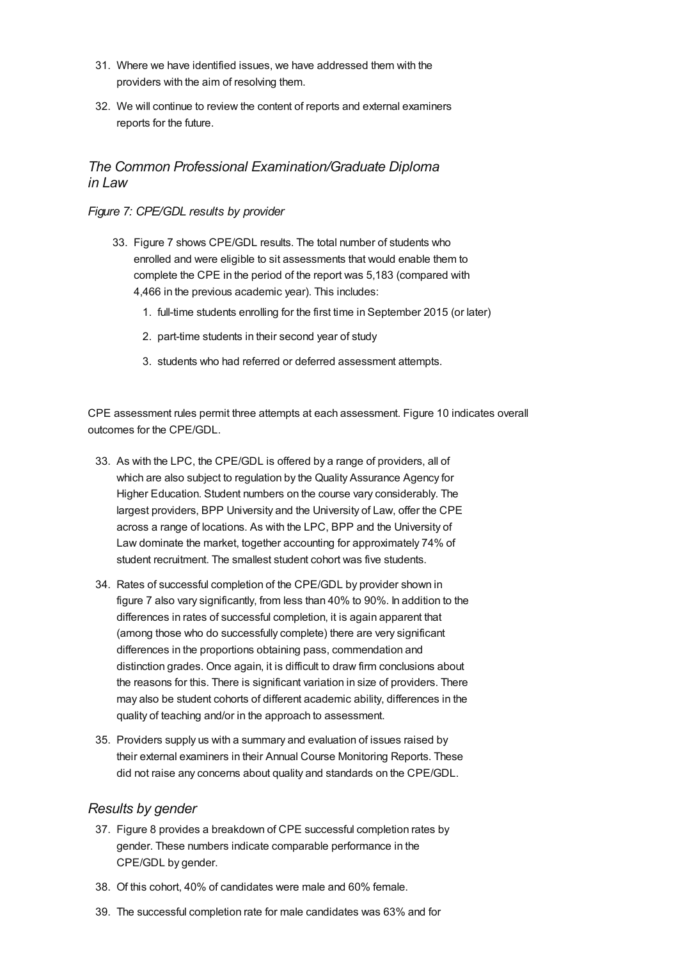- 31. Where we have identified issues, we have addressed them with the providers with the aim of resolving them.
- 32. We will continue to review the content of reports and external examiners reports for the future.

# *The Common Professional [Examination/Graduate](#page-5-0) Diploma in Law*

#### <span id="page-5-0"></span>*Figure 7: CPE/GDL results by provider*

- 33. Figure 7 shows CPE/GDL results. The total number of students who enrolled and were eligible to sit assessments that would enable them to complete the CPE in the period of the report was 5,183 (compared with 4,466 in the previous academic year). This includes:
	- 1. full-time students enrolling for the first time in September 2015 (or later)
	- 2. part-time students in their second year of study
	- 3. students who had referred or deferred assessment attempts.

CPE assessment rules permit three attempts at each assessment. Figure 10 indicates overall outcomes for the CPE/GDL.

- 33. As with the LPC, the CPE/GDL is offered by a range of providers, all of which are also subject to regulation by the Quality Assurance Agency for Higher Education. Student numbers on the course vary considerably. The largest providers, BPP University and the University of Law, offer the CPE across a range of locations. As with the LPC, BPP and the University of Law dominate the market, together accounting for approximately 74% of student recruitment. The smallest student cohort was five students.
- 34. Rates of successful completion of the CPE/GDL by provider shown in figure 7 also vary significantly, from less than 40% to 90%. In addition to the differences in rates of successful completion, it is again apparent that (among those who do successfully complete) there are very significant differences in the proportions obtaining pass, commendation and distinction grades. Once again, it is difficult to draw firm conclusions about the reasons for this. There is significant variation in size of providers. There may also be student cohorts of different academic ability, differences in the quality of teaching and/or in the approach to assessment.
- 35. Providers supply us with a summary and evaluation of issues raised by their external examiners in their Annual Course Monitoring Reports. These did not raise any concerns about quality and standards on the CPE/GDL.

#### *Results by gender*

- 37. Figure 8 provides a breakdown of CPE successful completion rates by gender. These numbers indicate comparable performance in the CPE/GDL by gender.
- 38. Of this cohort, 40% of candidates were male and 60% female.
- 39. The successful completion rate for male candidates was 63% and for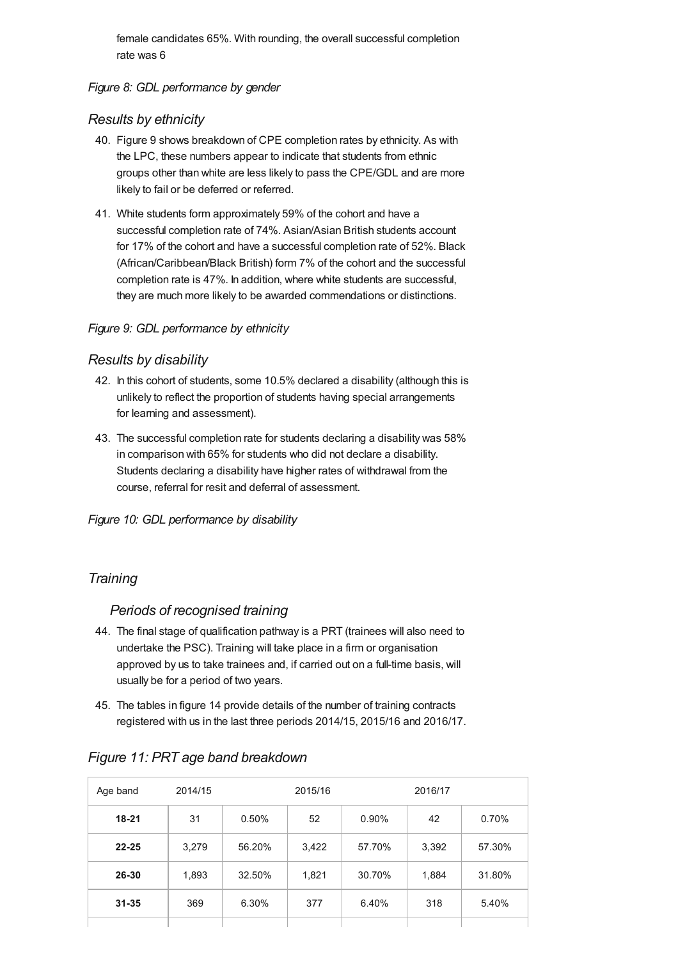female candidates 65%. With rounding, the overall successful completion rate was 6

#### *Figure 8: GDL performance by gender*

#### *Results by ethnicity*

- 40. Figure 9 shows breakdown of CPE completion rates by ethnicity. As with the LPC, these numbers appear to indicate that students from ethnic groups other than white are less likely to pass the CPE/GDL and are more likely to fail or be deferred or referred.
- 41. White students form approximately 59% of the cohort and have a successful completion rate of 74%. Asian/Asian British students account for 17% of the cohort and have a successful completion rate of 52%. Black (African/Caribbean/Black British) form 7% of the cohort and the successful completion rate is 47%. In addition, where white students are successful, they are much more likely to be awarded commendations or distinctions.

#### *Figure 9: GDL performance by ethnicity*

#### *Results by disability*

- 42. In this cohort of students, some 10.5% declared a disability (although this is unlikely to reflect the proportion of students having special arrangements for learning and assessment).
- 43. The successful completion rate for students declaring a disability was 58% in comparison with 65% for students who did not declare a disability. Students declaring a disability have higher rates of withdrawal from the course, referral for resit and deferral of assessment.

*Figure 10: GDL performance by disability*

# *[Training](#page-7-0)*

#### *Periods of recognised training*

- 44. The final stage of qualification pathway is a PRT (trainees will also need to undertake the PSC). Training will take place in a firm or organisation approved by us to take trainees and, if carried out on a full-time basis, will usually be for a period of two years.
- 45. The tables in figure 14 provide details of the number of training contracts registered with us in the last three periods 2014/15, 2015/16 and 2016/17.

| Age band  | 2014/15 |        | 2015/16 |        | 2016/17 |        |
|-----------|---------|--------|---------|--------|---------|--------|
| $18 - 21$ | 31      | 0.50%  | 52      | 0.90%  | 42      | 0.70%  |
| $22 - 25$ | 3,279   | 56.20% | 3,422   | 57.70% | 3,392   | 57.30% |
| 26-30     | 1,893   | 32.50% | 1,821   | 30.70% | 1,884   | 31.80% |
| $31 - 35$ | 369     | 6.30%  | 377     | 6.40%  | 318     | 5.40%  |
|           |         |        |         |        |         |        |

# *Figure 11: PRT age band breakdown*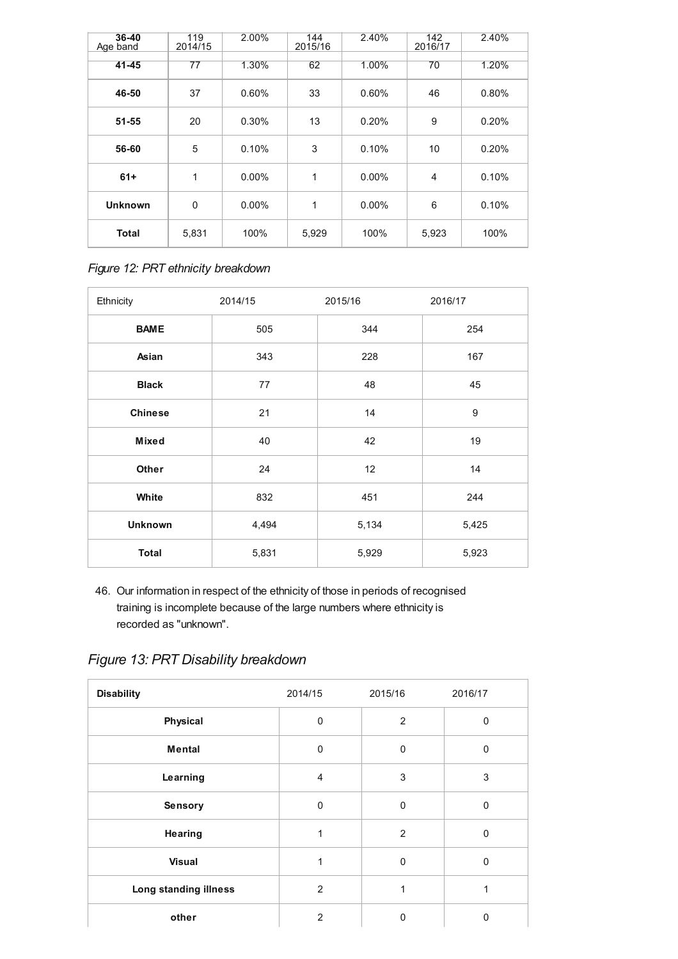<span id="page-7-0"></span>

| $36 - 40$<br>Age band | 119<br>2014/15  | 2.00%    | 144<br>2015/16 | 2.40% | 142<br>2016/17 | 2.40% |
|-----------------------|-----------------|----------|----------------|-------|----------------|-------|
| $41 - 45$             | $\overline{77}$ | 1.30%    | 62             | 1.00% | 70             | 1.20% |
| 46-50                 | 37              | 0.60%    | 33             | 0.60% | 46             | 0.80% |
| $51 - 55$             | 20              | 0.30%    | 13             | 0.20% | 9              | 0.20% |
| 56-60                 | 5               | 0.10%    | 3              | 0.10% | 10             | 0.20% |
| $61+$                 | 1               | $0.00\%$ | 1              | 0.00% | $\overline{4}$ | 0.10% |
| <b>Unknown</b>        | $\mathbf 0$     | $0.00\%$ | 1              | 0.00% | 6              | 0.10% |
| <b>Total</b>          | 5,831           | 100%     | 5,929          | 100%  | 5,923          | 100%  |

*Figure 12: PRT ethnicity breakdown*

| Ethnicity      | 2014/15 | 2015/16 | 2016/17 |
|----------------|---------|---------|---------|
| <b>BAME</b>    | 505     | 344     | 254     |
| Asian          | 343     | 228     | 167     |
| <b>Black</b>   | 77      | 48      | 45      |
| <b>Chinese</b> | 21      | 14      | 9       |
| Mixed          | 40      | 42      | 19      |
| Other          | 24      | 12      | 14      |
| White          | 832     | 451     | 244     |
| <b>Unknown</b> | 4,494   | 5,134   | 5,425   |
| <b>Total</b>   | 5,831   | 5,929   | 5,923   |

46. Our information in respect of the ethnicity of those in periods of recognised training is incomplete because of the large numbers where ethnicity is recorded as "unknown".

*Figure 13: PRT Disability breakdown*

| <b>Disability</b>     | 2014/15        | 2015/16     | 2016/17      |
|-----------------------|----------------|-------------|--------------|
| Physical              | $\mathbf 0$    | 2           | 0            |
| <b>Mental</b>         | $\mathbf 0$    | $\mathbf 0$ | 0            |
| Learning              | $\overline{4}$ | 3           | 3            |
| Sensory               | $\mathbf 0$    | 0           | $\Omega$     |
| Hearing               | 1              | 2           | $\Omega$     |
| <b>Visual</b>         | 1              | $\mathbf 0$ | $\mathbf{0}$ |
| Long standing illness | 2              | 1           | 1            |
| other                 | $\overline{2}$ | 0           | $\Omega$     |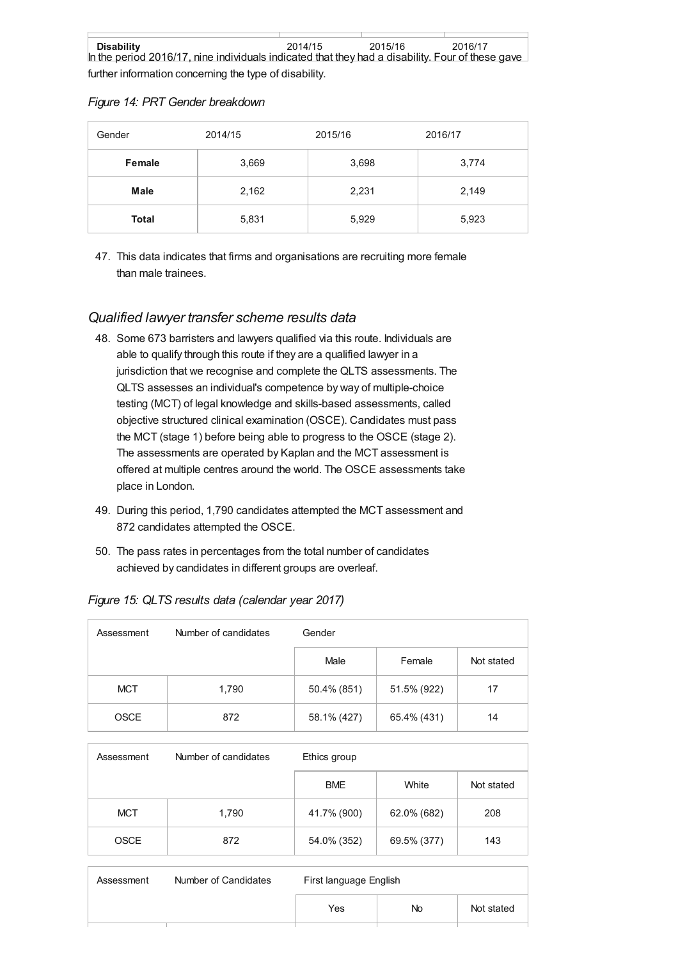further information concerning the type of disability.

|  |  |  | Figure 14: PRT Gender breakdown |
|--|--|--|---------------------------------|
|--|--|--|---------------------------------|

| Gender | 2014/15 | 2015/16 | 2016/17 |
|--------|---------|---------|---------|
| Female | 3,669   | 3,698   | 3,774   |
| Male   | 2,162   | 2,231   | 2,149   |
| Total  | 5,831   | 5,929   | 5,923   |

47. This data indicates that firms and organisations are recruiting more female than male trainees.

# *[Qualified](#page-9-0) lawyer transfer scheme results data*

- 48. Some 673 barristers and lawyers qualified via this route. Individuals are able to qualify through this route if they are a qualified lawyer in a jurisdiction that we recognise and complete the QLTS assessments. The QLTS assesses an individual's competence by way of multiple-choice testing (MCT) of legal knowledge and skills-based assessments, called objective structured clinical examination (OSCE). Candidates must pass the MCT (stage 1) before being able to progress to the OSCE (stage 2). The assessments are operated by Kaplan and the MCT assessment is offered at multiple centres around the world. The OSCE assessments take place in London.
- 49. During this period, 1,790 candidates attempted the MCT assessment and 872 candidates attempted the OSCE.
- 50. The pass rates in percentages from the total number of candidates achieved by candidates in different groups are overleaf.

*Figure 15: QLTS results data (calendar year 2017)*

| Assessment  | Number of candidates | Gender      |             |            |  |
|-------------|----------------------|-------------|-------------|------------|--|
|             |                      | Male        | Female      | Not stated |  |
| <b>MCT</b>  | 1,790                | 50.4% (851) | 51.5% (922) | 17         |  |
| <b>OSCE</b> | 872                  | 58.1% (427) | 65.4% (431) | 14         |  |

| Assessment  | Number of candidates | Ethics group |             |            |
|-------------|----------------------|--------------|-------------|------------|
|             |                      | <b>BME</b>   | White       | Not stated |
| <b>MCT</b>  | 1,790                | 41.7% (900)  | 62.0% (682) | 208        |
| <b>OSCE</b> | 872                  | 54.0% (352)  | 69.5% (377) | 143        |

| Assessment | Number of Candidates | First language English |     |            |
|------------|----------------------|------------------------|-----|------------|
|            |                      | Yes                    | No. | Not stated |
|            |                      |                        |     |            |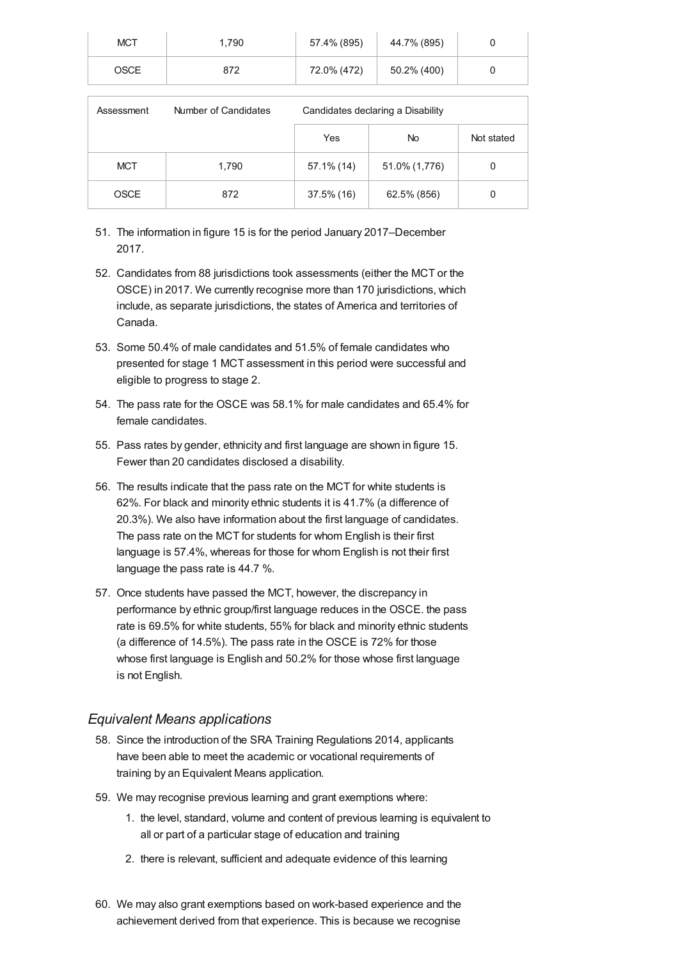<span id="page-9-0"></span>

| <b>MCT</b>  | .790 | 57.4% (895) | 44.7% (895) |  |
|-------------|------|-------------|-------------|--|
| <b>OSCE</b> | 872  | 72.0% (472) | 50.2% (400) |  |

| Assessment  | Number of Candidates | Candidates declaring a Disability |               |            |
|-------------|----------------------|-----------------------------------|---------------|------------|
|             |                      | Yes                               | No.           | Not stated |
| <b>MCT</b>  | 1,790                | 57.1% (14)                        | 51.0% (1,776) | 0          |
| <b>OSCE</b> | 872                  | 37.5% (16)                        | 62.5% (856)   | 0          |

- 51. The information in figure 15 is for the period January 2017–December 2017.
- 52. Candidates from 88 jurisdictions took assessments (either the MCT or the OSCE) in 2017. We currently recognise more than 170 jurisdictions, which include, as separate jurisdictions, the states of America and territories of Canada.
- 53. Some 50.4% of male candidates and 51.5% of female candidates who presented for stage 1 MCT assessment in this period were successful and eligible to progress to stage 2.
- 54. The pass rate for the OSCE was 58.1% for male candidates and 65.4% for female candidates.
- 55. Pass rates by gender, ethnicity and first language are shown in figure 15. Fewer than 20 candidates disclosed a disability.
- 56. The results indicate that the pass rate on the MCT for white students is 62%. For black and minority ethnic students it is 41.7% (a difference of 20.3%). We also have information about the first language of candidates. The pass rate on the MCT for students for whom English is their first language is 57.4%, whereas for those for whom English is not their first language the pass rate is 44.7 %.
- 57. Once students have passed the MCT, however, the discrepancy in performance by ethnic group/first language reduces in the OSCE. the pass rate is 69.5% for white students, 55% for black and minority ethnic students (a difference of 14.5%). The pass rate in the OSCE is 72% for those whose first language is English and 50.2% for those whose first language is not English.

#### *Equivalent Means [applications](#page-10-2)*

- 58. Since the introduction of the SRA Training Regulations 2014, applicants have been able to meet the academic or vocational requirements of training by an Equivalent Means application.
- 59. We may recognise previous learning and grant exemptions where:
	- 1. the level, standard, volume and content of previous learning is equivalent to all or part of a particular stage of education and training
	- 2. there is relevant, sufficient and adequate evidence of this learning
- 60. We may also grant exemptions based on work-based experience and the achievement derived from that experience. This is because we recognise